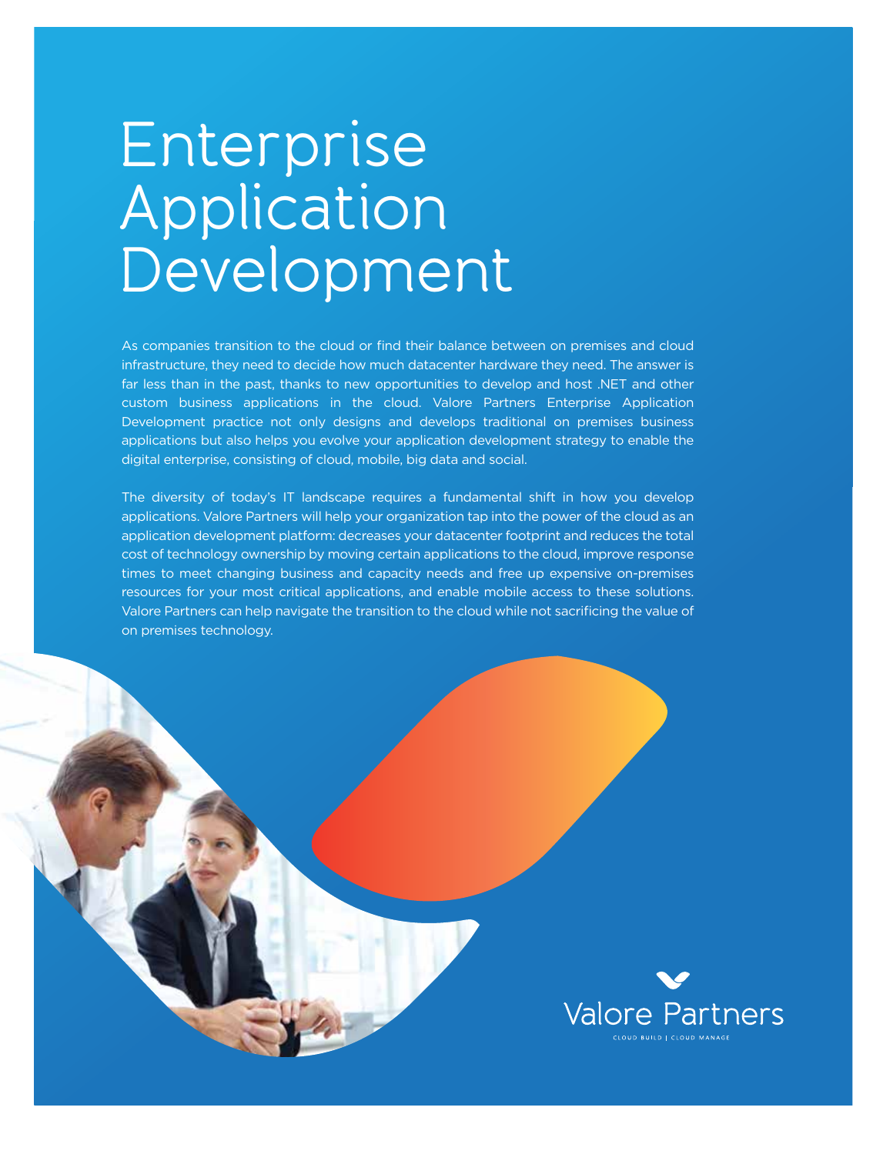## Enterprise Application Development

As companies transition to the cloud or find their balance between on premises and cloud infrastructure, they need to decide how much datacenter hardware they need. The answer is far less than in the past, thanks to new opportunities to develop and host .NET and other custom business applications in the cloud. Valore Partners Enterprise Application Development practice not only designs and develops traditional on premises business applications but also helps you evolve your application development strategy to enable the digital enterprise, consisting of cloud, mobile, big data and social.

The diversity of today's IT landscape requires a fundamental shift in how you develop applications. Valore Partners will help your organization tap into the power of the cloud as an application development platform: decreases your datacenter footprint and reduces the total cost of technology ownership by moving certain applications to the cloud, improve response times to meet changing business and capacity needs and free up expensive on-premises resources for your most critical applications, and enable mobile access to these solutions. Valore Partners can help navigate the transition to the cloud while not sacrificing the value of on premises technology.